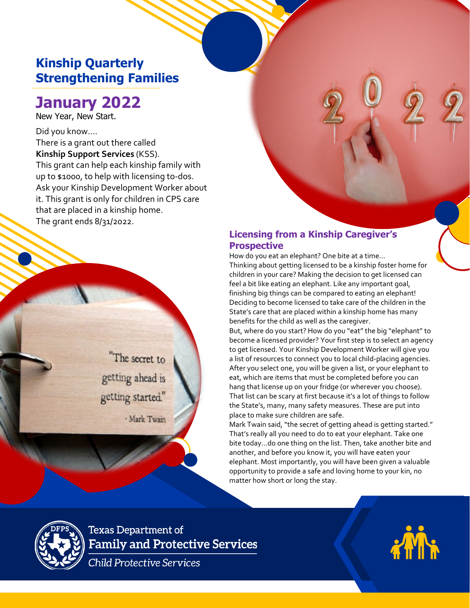## **Kinship Quarterly Strengthening Families**

# **January 2022**

New Year, New Start.

Did you know…. There is a grant out there called **Kinship Support Services** (KSS). This grant can help each kinship family with up to \$1000, to help with licensing to-dos. Ask your Kinship Development Worker about it. This grant is only for children in CPS care that are placed in a kinship home. The grant ends 8/31/2022.

> "The secret to getting ahead is getting started."

> > - Mark Twain

### **Licensing from a Kinship Caregiver's Prospective**

How do you eat an elephant? One bite at a time… Thinking about getting licensed to be a kinship foster home for children in your care? Making the decision to get licensed can feel a bit like eating an elephant. Like any important goal, finishing big things can be compared to eating an elephant! Deciding to become licensed to take care of the children in the State's care that are placed within a kinship home has many benefits for the child as well as the caregiver.

**PARENT TEACHERS** 

**ASSOCIATION 20XX**

But, where do you start? How do you "eat" the big "elephant" to become a licensed provider? Your first step is to select an agency to get licensed. Your Kinship Development Worker will give you a list of resources to connect you to local child-placing agencies. After you select one, you will be given a list, or your elephant to eat, which are items that must be completed before you can hang that license up on your fridge (or wherever you choose). That list can be scary at first because it's a lot of things to follow the State's, many, many safety measures. These are put into place to make sure children are safe.

Mark Twain said, "the secret of getting ahead is getting started." That's really all you need to do to eat your elephant. Take one bite today…do one thing on the list. Then, take another bite and another, and before you know it, you will have eaten your elephant. Most importantly, you will have been given a valuable opportunity to provide a safe and loving home to your kin, no matter how short or long the stay.



**Texas Department of Family and Protective Services** 

Child Protective Services